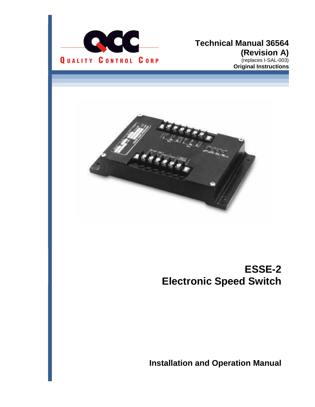

#### **Technical Manual 36564 (Revision A)** (replaces I-SAL-003) **Original Instructions**



# **ESSE-2 Electronic Speed Switch**

**Installation and Operation Manual**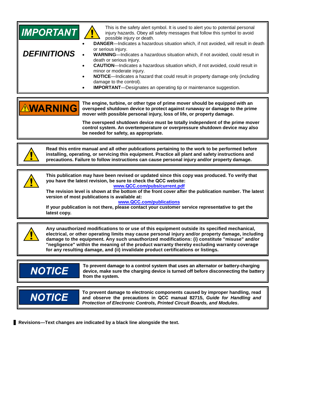| <b>IMPORTANT</b><br><b>DEFINITIONS</b>                                                                                                                                                                                                                                                                                                                                                                                                                                                                      | This is the safety alert symbol. It is used to alert you to potential personal<br>injury hazards. Obey all safety messages that follow this symbol to avoid<br>possible injury or death.<br>DANGER-Indicates a hazardous situation which, if not avoided, will result in death<br>or serious injury.<br>WARNING-Indicates a hazardous situation which, if not avoided, could result in<br>death or serious injury.<br><b>CAUTION</b> -Indicates a hazardous situation which, if not avoided, could result in<br>minor or moderate injury.<br>NOTICE-Indicates a hazard that could result in property damage only (including<br>damage to the control).<br><b>IMPORTANT</b> -Designates an operating tip or maintenance suggestion. |  |
|-------------------------------------------------------------------------------------------------------------------------------------------------------------------------------------------------------------------------------------------------------------------------------------------------------------------------------------------------------------------------------------------------------------------------------------------------------------------------------------------------------------|------------------------------------------------------------------------------------------------------------------------------------------------------------------------------------------------------------------------------------------------------------------------------------------------------------------------------------------------------------------------------------------------------------------------------------------------------------------------------------------------------------------------------------------------------------------------------------------------------------------------------------------------------------------------------------------------------------------------------------|--|
| <b>AWARNING</b>                                                                                                                                                                                                                                                                                                                                                                                                                                                                                             | The engine, turbine, or other type of prime mover should be equipped with an<br>overspeed shutdown device to protect against runaway or damage to the prime<br>mover with possible personal injury, loss of life, or property damage.<br>The overspeed shutdown device must be totally independent of the prime mover<br>control system. An overtemperature or overpressure shutdown device may also<br>be needed for safety, as appropriate.                                                                                                                                                                                                                                                                                      |  |
|                                                                                                                                                                                                                                                                                                                                                                                                                                                                                                             | Read this entire manual and all other publications pertaining to the work to be performed before<br>installing, operating, or servicing this equipment. Practice all plant and safety instructions and<br>precautions. Failure to follow instructions can cause personal injury and/or property damage.                                                                                                                                                                                                                                                                                                                                                                                                                            |  |
| This publication may have been revised or updated since this copy was produced. To verify that<br>you have the latest revision, be sure to check the QCC website:<br>www.QCC.com/pubs/current.pdf<br>The revision level is shown at the bottom of the front cover after the publication number. The latest<br>version of most publications is available at:<br>www.QCC.com/publications<br>If your publication is not there, please contact your customer service representative to get the<br>latest copy. |                                                                                                                                                                                                                                                                                                                                                                                                                                                                                                                                                                                                                                                                                                                                    |  |
| Any unauthorized modifications to or use of this equipment outside its specified mechanical,<br>electrical, or other operating limits may cause personal injury and/or property damage, including<br>damage to the equipment. Any such unauthorized modifications: (i) constitute "misuse" and/or<br>"negligence" within the meaning of the product warranty thereby excluding warranty coverage<br>for any resulting damage, and (ii) invalidate product certifications or listings.                       |                                                                                                                                                                                                                                                                                                                                                                                                                                                                                                                                                                                                                                                                                                                                    |  |
| <b>NOTICE</b>                                                                                                                                                                                                                                                                                                                                                                                                                                                                                               | To prevent damage to a control system that uses an alternator or battery-charging<br>device, make sure the charging device is turned off before disconnecting the battery<br>from the system.                                                                                                                                                                                                                                                                                                                                                                                                                                                                                                                                      |  |
| <b>NOTICE</b>                                                                                                                                                                                                                                                                                                                                                                                                                                                                                               | To prevent damage to electronic components caused by improper handling, read<br>and observe the precautions in QCC manual 82715, Guide for Handling and                                                                                                                                                                                                                                                                                                                                                                                                                                                                                                                                                                            |  |

*Protection of Electronic Controls, Printed Circuit Boards, and Modules***.** 

**Revisions—Text changes are indicated by a black line alongside the text.**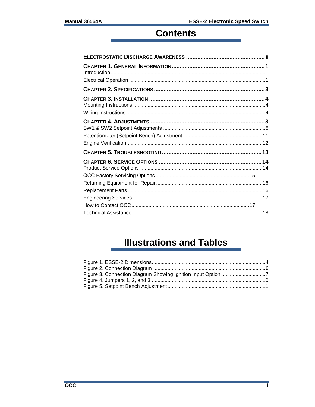# **Contents**

# **Illustrations and Tables**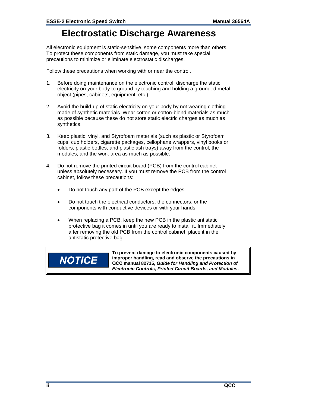## **Electrostatic Discharge Awareness**

All electronic equipment is static-sensitive, some components more than others. To protect these components from static damage, you must take special precautions to minimize or eliminate electrostatic discharges.

Follow these precautions when working with or near the control.

- 1. Before doing maintenance on the electronic control, discharge the static electricity on your body to ground by touching and holding a grounded metal object (pipes, cabinets, equipment, etc.).
- 2. Avoid the build-up of static electricity on your body by not wearing clothing made of synthetic materials. Wear cotton or cotton-blend materials as much as possible because these do not store static electric charges as much as synthetics.
- 3. Keep plastic, vinyl, and Styrofoam materials (such as plastic or Styrofoam cups, cup holders, cigarette packages, cellophane wrappers, vinyl books or folders, plastic bottles, and plastic ash trays) away from the control, the modules, and the work area as much as possible.
- 4. Do not remove the printed circuit board (PCB) from the control cabinet unless absolutely necessary. If you must remove the PCB from the control cabinet, follow these precautions:
	- Do not touch any part of the PCB except the edges.
	- Do not touch the electrical conductors, the connectors, or the components with conductive devices or with your hands.
	- When replacing a PCB, keep the new PCB in the plastic antistatic protective bag it comes in until you are ready to install it. Immediately after removing the old PCB from the control cabinet, place it in the antistatic protective bag.

# **NOTICE**

**To prevent damage to electronic components caused by improper handling, read and observe the precautions in QCC manual 82715,** *Guide for Handling and Protection of Electronic Controls, Printed Circuit Boards, and Modules***.**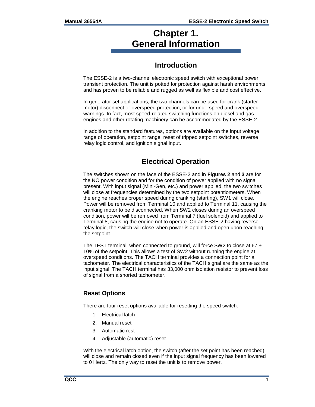## **Chapter 1. General Information**

## **Introduction**

The ESSE-2 is a two-channel electronic speed switch with exceptional power transient protection. The unit is potted for protection against harsh environments and has proven to be reliable and rugged as well as flexible and cost effective.

In generator set applications, the two channels can be used for crank (starter motor) disconnect or overspeed protection, or for underspeed and overspeed warnings. In fact, most speed-related switching functions on diesel and gas engines and other rotating machinery can be accommodated by the ESSE-2.

In addition to the standard features, options are available on the input voltage range of operation, setpoint range, reset of tripped setpoint switches, reverse relay logic control, and ignition signal input.

## **Electrical Operation**

The switches shown on the face of the ESSE-2 and in **Figures 2** and **3** are for the NO power condition and for the condition of power applied with no signal present. With input signal (Mini-Gen, etc.) and power applied, the two switches will close at frequencies determined by the two setpoint potentiometers. When the engine reaches proper speed during cranking (starting), SW1 will close. Power will be removed from Terminal 10 and applied to Terminal 11, causing the cranking motor to be disconnected. When SW2 closes during an overspeed condition, power will be removed from Terminal 7 (fuel solenoid) and applied to Terminal 8, causing the engine not to operate. On an ESSE-2 having reverse relay logic, the switch will close when power is applied and open upon reaching the setpoint.

The TEST terminal, when connected to ground, will force SW2 to close at 67  $\pm$ 10% of the setpoint. This allows a test of SW2 without running the engine at overspeed conditions. The TACH terminal provides a connection point for a tachometer. The electrical characteristics of the TACH signal are the same as the input signal. The TACH terminal has 33,000 ohm isolation resistor to prevent loss of signal from a shorted tachometer.

#### **Reset Options**

There are four reset options available for resetting the speed switch:

- 1. Electrical latch
- 2. Manual reset
- 3. Automatic rest
- 4. Adjustable (automatic) reset

With the electrical latch option, the switch (after the set point has been reached) will close and remain closed even if the input signal frequency has been lowered to 0 Hertz. The only way to reset the unit is to remove power.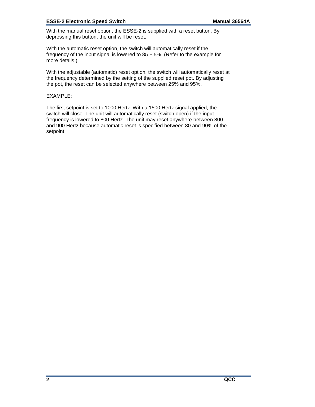#### **ESSE-2 Electronic Speed Switch Manual 36564A**

With the manual reset option, the ESSE-2 is supplied with a reset button. By depressing this button, the unit will be reset.

With the automatic reset option, the switch will automatically reset if the frequency of the input signal is lowered to  $85 \pm 5$ %. (Refer to the example for more details.)

With the adjustable (automatic) reset option, the switch will automatically reset at the frequency determined by the setting of the supplied reset pot. By adjusting the pot, the reset can be selected anywhere between 25% and 95%.

#### EXAMPLE:

The first setpoint is set to 1000 Hertz. With a 1500 Hertz signal applied, the switch will close. The unit will automatically reset (switch open) if the input frequency is lowered to 800 Hertz. The unit may reset anywhere between 800 and 900 Hertz because automatic reset is specified between 80 and 90% of the setpoint.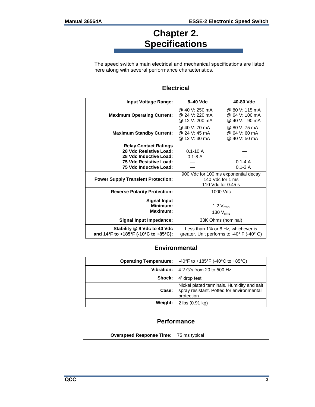# **Chapter 2. Specifications**

The speed switch's main electrical and mechanical specifications are listed here along with several performance characteristics.

#### **Electrical**

| <b>Input Voltage Range:</b>                                                                                                          | 8-40 Vdc                                           | 40-80 Vdc                                                                                         |
|--------------------------------------------------------------------------------------------------------------------------------------|----------------------------------------------------|---------------------------------------------------------------------------------------------------|
| <b>Maximum Operating Current:</b>                                                                                                    | @ 40 V: 250 mA<br>@ 24 V: 220 mA<br>@ 12 V: 200 mA | @ 80 V: 115 mA<br>@ 64 V: 100 mA<br>@ 40 V: 90 mA                                                 |
| <b>Maximum Standby Current:</b>                                                                                                      | @ 40 V: 70 mA<br>@ 24 V: 45 mA<br>@ 12 V: 30 mA    | @ 80 V: 75 mA<br>@ 64 V: 60 mA<br>@ 40 V: 50 mA                                                   |
| <b>Relay Contact Ratings</b><br>28 Vdc Resistive Load:<br>28 Vdc Inductive Load:<br>75 Vdc Resistive Load:<br>75 Vdc Inductive Load: | $0.1 - 10A$<br>$0.1 - 8$ A                         | $0.1 - 4A$<br>$0.1 - 3A$                                                                          |
| <b>Power Supply Transient Protection:</b>                                                                                            |                                                    | 900 Vdc for 100 ms exponential decay<br>140 Vdc for 1 ms<br>110 Vdc for 0.45 s                    |
| <b>Reverse Polarity Protection:</b>                                                                                                  |                                                    | 1000 Vdc                                                                                          |
| <b>Signal Input</b><br>Minimum:<br><b>Maximum:</b>                                                                                   |                                                    | $1.2 V_{rms}$<br>130 V <sub>rms</sub>                                                             |
| <b>Signal Input Impedance:</b>                                                                                                       |                                                    | 33K Ohms (nominal)                                                                                |
| Stability @ 9 Vdc to 40 Vdc<br>and 14°F to +185°F (-10°C to +85°C):                                                                  |                                                    | Less than 1% or 8 Hz, whichever is<br>greater. Unit performs to -40 $\degree$ F (-40 $\degree$ C) |

#### **Environmental**

| <b>Operating Temperature:</b> | -40°F to +185°F (-40°C to +85°C)                                                                      |
|-------------------------------|-------------------------------------------------------------------------------------------------------|
|                               | <b>Vibration:</b> $\vert$ 4.2 G's from 20 to 500 Hz                                                   |
|                               | <b>Shock:</b> 4' drop test                                                                            |
| Case:                         | Nickel plated terminals. Humidity and salt<br>spray resistant. Potted for environmental<br>protection |
|                               | <b>Weight:</b> $\vert$ 2 lbs (0.91 kg)                                                                |

#### **Performance**

| <b>Overspeed Response Time:</b> 75 ms typical |  |
|-----------------------------------------------|--|
|                                               |  |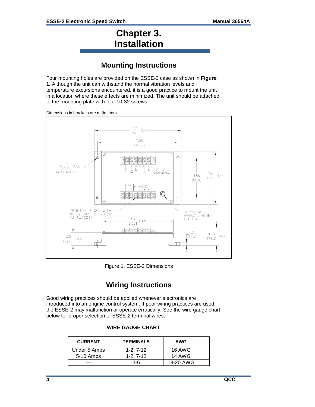## **Chapter 3. Installation**

## **Mounting Instructions**

Four mounting holes are provided on the ESSE-2 case as shown in **Figure 1.** Although the unit can withstand the normal vibration levels and temperature excursions encountered, it is a good practice to mount the unit in a location where these effects are minimized. The unit should be attached to the mounting plate with four 10-32 screws.



Dimensions in brackets are millimeters.

<span id="page-7-0"></span>Figure 1. ESSE-2 Dimensions

## **Wiring Instructions**

Good wiring practices should be applied whenever electronics are introduced into an engine control system. If poor wiring practices are used, the ESSE-2 may malfunction or operate erratically. See the wire gauge chart below for proper selection of ESSE-2 terminal wires.

#### **WIRE GAUGE CHART**

| <b>CURRENT</b> | <b>TERMINALS</b> | <b>AWG</b> |
|----------------|------------------|------------|
| Under 5 Amps   | $1 - 2.7 - 12$   | 16 AWG     |
| 5-10 Amps      | $1 - 2.7 - 12$   | 14 AWG     |
|                | 3-6              | 18-20 AWG  |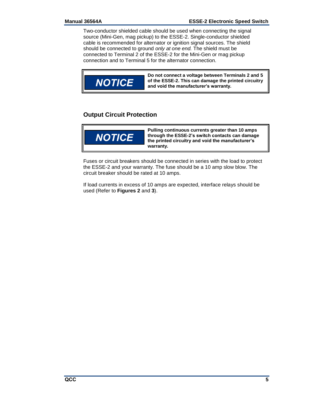Two-conductor shielded cable should be used when connecting the signal source (Mini-Gen, mag pickup) to the ESSE-2. Single-conductor shielded cable is recommended for alternator or ignition signal sources. The shield should be connected to ground *only at one end.* The shield must be connected to Terminal 2 of the ESSE-2 for the Mini-Gen or mag pickup connection and to Terminal 5 for the alternator connection.



#### **Output Circuit Protection**



**Pulling continuous currents greater than 10 amps through the ESSE-2's switch contacts can damage the printed circuitry and void the manufacturer's warranty.**

Fuses or circuit breakers should be connected in series with the load to protect the ESSE-2 and your warranty. The fuse should be a 10 amp slow blow. The circuit breaker should be rated at 10 amps.

If load currents in excess of 10 amps are expected, interface relays should be used (Refer to **Figures 2** and **3**).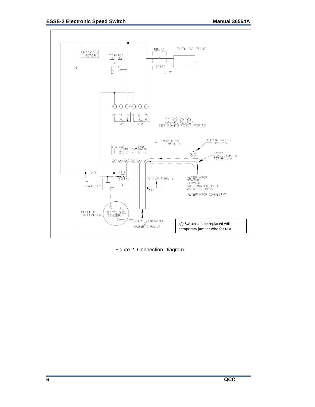

<span id="page-9-0"></span>Figure 2. Connection Diagram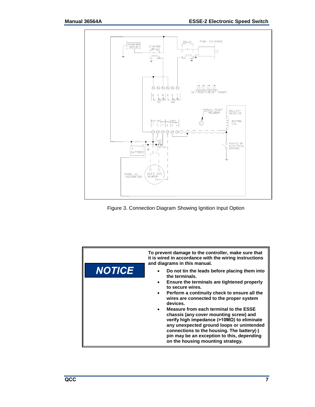

<span id="page-10-0"></span>

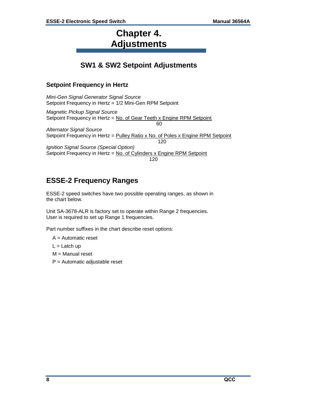## **Chapter 4. Adjustments**

## **SW1 & SW2 Setpoint Adjustments**

#### **Setpoint Frequency in Hertz**

*Mini-Gen Signal Generator Signal Source* Setpoint Frequency in Hertz = 1/2 Mini-Gen RPM Setpoint

*Magnetic Pickup Signal Source*  Setpoint Frequency in Hertz = No. of Gear Teeth x Engine RPM Setpoint 60

*Alternator Signal Source*  Setpoint Frequency in Hertz = Pulley Ratio x No. of Poles x Engine RPM Setpoint 120

*Ignition Signal Source (Special Option)*  Setpoint Frequency in Hertz = No. of Cylinders x Engine RPM Setpoint 120

## **ESSE-2 Frequency Ranges**

ESSE-2 speed switches have two possible operating ranges, as shown in the chart below.

Unit SA-3678-ALR is factory set to operate within Range 2 frequencies. User is required to set up Range 1 frequencies.

Part number suffixes in the chart describe reset options:

A = Automatic reset

 $L =$ Latch up

M = Manual reset

 $P =$  Automatic adjustable reset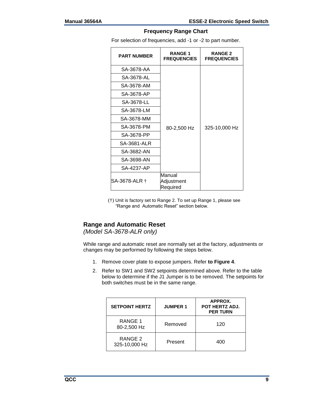#### **Frequency Range Chart**

For selection of frequencies, add -1 or -2 to part number.

| <b>PART NUMBER</b> | <b>RANGE1</b><br><b>FREQUENCIES</b> | <b>RANGE 2</b><br><b>FREQUENCIES</b> |
|--------------------|-------------------------------------|--------------------------------------|
| SA-3678-AA         |                                     |                                      |
| SA-3678-AL         |                                     |                                      |
| SA-3678-AM         |                                     |                                      |
| SA-3678-AP         |                                     |                                      |
| SA-3678-LL         |                                     |                                      |
| SA-3678-LM         |                                     |                                      |
| SA-3678-MM         |                                     |                                      |
| SA-3678-PM         | 80-2,500 Hz                         | 325-10,000 Hz                        |
| SA-3678-PP         |                                     |                                      |
| SA-3681-ALR        |                                     |                                      |
| SA-3682-AN         |                                     |                                      |
| SA-3698-AN         |                                     |                                      |
| SA-4237-AP         |                                     |                                      |
| SA-3678-ALR †      | Manual<br>Adjustment<br>Required    |                                      |

(†) Unit is factory set to Range 2. To set up Range 1, please see "Range and Automatic Reset" section below.

#### **Range and Automatic Reset**

*(Model SA-3678-ALR only)* 

While range and automatic reset are normally set at the factory, adjustments or changes may be performed by following the steps below.

- 1. Remove cover plate to expose jumpers. Refer **to Figure 4**.
- 2. Refer to SW1 and SW2 setpoints determined above. Refer to the table below to determine if the J1 Jumper is to be removed. The setpoints for both switches must be in the same range.

| <b>SETPOINT HERTZ</b>    | <b>JUMPER 1</b> | APPROX.<br><b>POT HERTZ ADJ.</b><br><b>PER TURN</b> |
|--------------------------|-----------------|-----------------------------------------------------|
| RANGE 1<br>80-2,500 Hz   | Removed         | 120                                                 |
| RANGE 2<br>325-10,000 Hz | Present         | 400                                                 |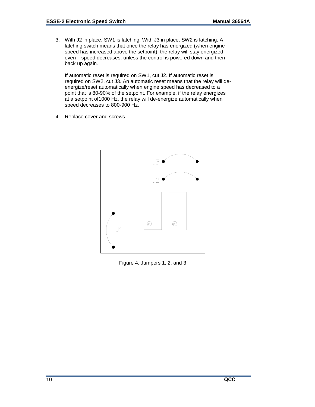3. With J2 in place, SW1 is latching. With J3 in place, SW2 is latching. A latching switch means that once the relay has energized (when engine speed has increased above the setpoint), the relay will stay energized, even if speed decreases, unless the control is powered down and then back up again.

If automatic reset is required on SW1, cut J2. If automatic reset is required on SW2, cut J3. An automatic reset means that the relay will deenergize/reset automatically when engine speed has decreased to a point that is 80-90% of the setpoint. For example, if the relay energizes at a setpoint of1000 Hz, the relay will de-energize automatically when speed decreases to 800-900 Hz.

4. Replace cover and screws.



<span id="page-13-0"></span>Figure 4. Jumpers 1, 2, and 3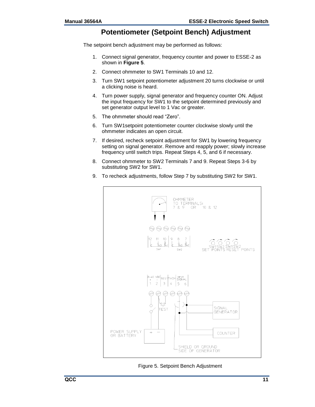#### **Potentiometer (Setpoint Bench) Adjustment**

The setpoint bench adjustment may be performed as follows:

- 1. Connect signal generator, frequency counter and power to ESSE-2 as shown in **Figure 5**.
- 2. Connect ohmmeter to SW1 Terminals 10 and 12.
- 3. Turn SW1 setpoint potentiometer adjustment 20 turns clockwise or until a clicking noise is heard.
- 4. Turn power supply, signal generator and frequency counter ON. Adjust the input frequency for SW1 to the setpoint determined previously and set generator output level to 1 Vac or greater.
- 5. The ohmmeter should read "Zero".
- 6. Turn SW1setpoint potentiometer counter clockwise slowly until the ohmmeter indicates an open circuit.
- 7. If desired, recheck setpoint adjustment for SW1 by lowering frequency setting on signal generator. Remove and reapply power; slowly increase frequency until switch trips. Repeat Steps 4, 5, and 6 if necessary.
- 8. Connect ohmmeter to SW2 Terminals 7 and 9. Repeat Steps 3-6 by substituting SW2 for SW1.
- 9. To recheck adjustments, follow Step 7 by substituting SW2 for SW1.



<span id="page-14-0"></span>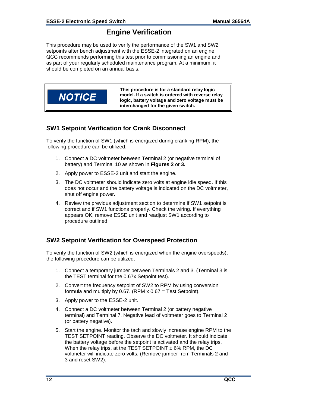## **Engine Verification**

This procedure may be used to verify the performance of the SW1 and SW2 setpoints after bench adjustment with the ESSE-2 integrated on an engine. QCC recommends performing this test prior to commissioning an engine and as part of your regularly scheduled maintenance program. At a minimum, it should be completed on an annual basis.



#### **SW1 Setpoint Verification for Crank Disconnect**

To verify the function of SW1 (which is energized during cranking RPM), the following procedure can be utilized.

- 1. Connect a DC voltmeter between Terminal 2 (or negative terminal of battery) and Terminal 10 as shown in **Figures 2** or **3.**
- 2. Apply power to ESSE-2 unit and start the engine.
- 3. The DC voltmeter should indicate zero volts at engine idle speed. If this does not occur and the battery voltage is indicated on the DC voltmeter, shut off engine power.
- 4. Review the previous adjustment section to determine if SW1 setpoint is correct and if SW1 functions properly. Check the wiring. If everything appears OK, remove ESSE unit and readjust SW1 according to procedure outlined.

#### **SW2 Setpoint Verification for Overspeed Protection**

To verify the function of SW2 (which is energized when the engine overspeeds), the following procedure can be utilized.

- 1. Connect a temporary jumper between Terminals 2 and 3. (Terminal 3 is the TEST terminal for the 0.67x Setpoint test).
- 2. Convert the frequency setpoint of SW2 to RPM by using conversion formula and multiply by 0.67. (RPM  $x$  0.67 = Test Setpoint).
- 3. Apply power to the ESSE-2 unit.
- 4. Connect a DC voltmeter between Terminal 2 (or battery negative terminal) and Terminal 7. Negative lead of voltmeter goes to Terminal 2 (or battery negative).
- 5. Start the engine. Monitor the tach and slowly increase engine RPM to the TEST SETPOINT reading. Observe the DC voltmeter. It should indicate the battery voltage before the setpoint is activated and the relay trips. When the relay trips, at the TEST SETPOINT  $\pm 6\%$  RPM, the DC voltmeter will indicate zero volts. (Remove jumper from Terminals 2 and 3 and reset SW2).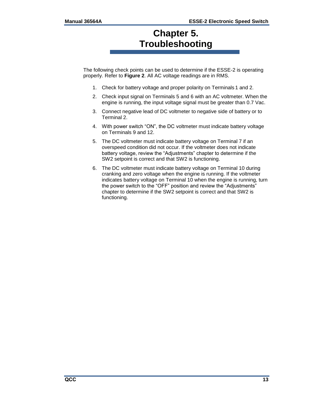## **Chapter 5. Troubleshooting**

The following check points can be used to determine if the ESSE-2 is operating properly. Refer to **Figure 2**. All AC voltage readings are in RMS.

- 1. Check for battery voltage and proper polarity on Terminals 1 and 2.
- 2. Check input signal on Terminals 5 and 6 with an AC voltmeter. When the engine is running, the input voltage signal must be greater than 0.7 Vac.
- 3. Connect negative lead of DC voltmeter to negative side of battery or to Terminal 2.
- 4. With power switch "ON", the DC voltmeter must indicate battery voltage on Terminals 9 and 12.
- 5. The DC voltmeter must indicate battery voltage on Terminal 7 if an overspeed condition did not occur. If the voltmeter does not indicate battery voltage, review the "Adjustments" chapter to determine if the SW2 setpoint is correct and that SW2 is functioning.
- 6. The DC voltmeter must indicate battery voltage on Terminal 10 during cranking and zero voltage when the engine is running. If the voltmeter indicates battery voltage on Terminal 10 when the engine is running, turn the power switch to the "OFF" position and review the "Adjustments" chapter to determine if the SW2 setpoint is correct and that SW2 is functioning.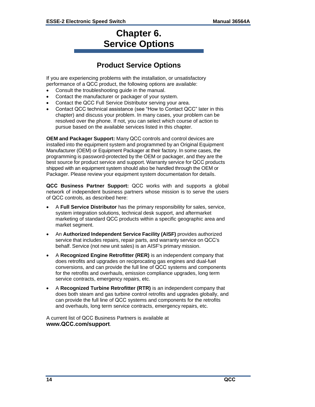## **Chapter 6. Service Options**

## **Product Service Options**

If you are experiencing problems with the installation, or unsatisfactory performance of a QCC product, the following options are available:

- Consult the troubleshooting guide in the manual.
- Contact the manufacturer or packager of your system.
- Contact the QCC Full Service Distributor serving your area.
- Contact QCC technical assistance (see "How to Contact QCC" later in this chapter) and discuss your problem. In many cases, your problem can be resolved over the phone. If not, you can select which course of action to pursue based on the available services listed in this chapter.

**OEM and Packager Support:** Many QCC controls and control devices are installed into the equipment system and programmed by an Original Equipment Manufacturer (OEM) or Equipment Packager at their factory. In some cases, the programming is password-protected by the OEM or packager, and they are the best source for product service and support. Warranty service for QCC products shipped with an equipment system should also be handled through the OEM or Packager. Please review your equipment system documentation for details.

**QCC Business Partner Support:** QCC works with and supports a global network of independent business partners whose mission is to serve the users of QCC controls, as described here:

- A **Full Service Distributor** has the primary responsibility for sales, service, system integration solutions, technical desk support, and aftermarket marketing of standard QCC products within a specific geographic area and market segment.
- An **Authorized Independent Service Facility (AISF)** provides authorized service that includes repairs, repair parts, and warranty service on QCC's behalf. Service (not new unit sales) is an AISF's primary mission.
- A **Recognized Engine Retrofitter (RER)** is an independent company that does retrofits and upgrades on reciprocating gas engines and dual-fuel conversions, and can provide the full line of QCC systems and components for the retrofits and overhauls, emission compliance upgrades, long term service contracts, emergency repairs, etc.
- A **Recognized Turbine Retrofitter (RTR)** is an independent company that does both steam and gas turbine control retrofits and upgrades globally, and can provide the full line of QCC systems and components for the retrofits and overhauls, long term service contracts, emergency repairs, etc.

A current list of QCC Business Partners is available at **www.QCC.com/support**.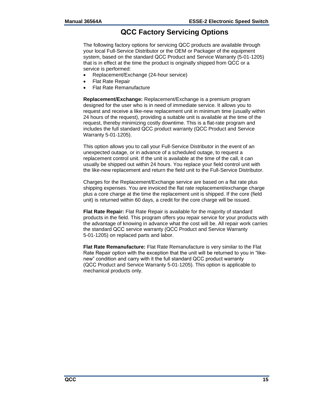## **QCC Factory Servicing Options**

The following factory options for servicing QCC products are available through your local Full-Service Distributor or the OEM or Packager of the equipment system, based on the standard QCC Product and Service Warranty (5-01-1205) that is in effect at the time the product is originally shipped from QCC or a service is performed:

- Replacement/Exchange (24-hour service)
- Flat Rate Repair
- Flat Rate Remanufacture

**Replacement/Exchange:** Replacement/Exchange is a premium program designed for the user who is in need of immediate service. It allows you to request and receive a like-new replacement unit in minimum time (usually within 24 hours of the request), providing a suitable unit is available at the time of the request, thereby minimizing costly downtime. This is a flat-rate program and includes the full standard QCC product warranty (QCC Product and Service Warranty 5-01-1205).

This option allows you to call your Full-Service Distributor in the event of an unexpected outage, or in advance of a scheduled outage, to request a replacement control unit. If the unit is available at the time of the call, it can usually be shipped out within 24 hours. You replace your field control unit with the like-new replacement and return the field unit to the Full-Service Distributor.

Charges for the Replacement/Exchange service are based on a flat rate plus shipping expenses. You are invoiced the flat rate replacement/exchange charge plus a core charge at the time the replacement unit is shipped. If the core (field unit) is returned within 60 days, a credit for the core charge will be issued.

**Flat Rate Repair:** Flat Rate Repair is available for the majority of standard products in the field. This program offers you repair service for your products with the advantage of knowing in advance what the cost will be. All repair work carries the standard QCC service warranty (QCC Product and Service Warranty 5-01-1205) on replaced parts and labor.

**Flat Rate Remanufacture:** Flat Rate Remanufacture is very similar to the Flat Rate Repair option with the exception that the unit will be returned to you in "likenew" condition and carry with it the full standard QCC product warranty (QCC Product and Service Warranty 5-01-1205). This option is applicable to mechanical products only.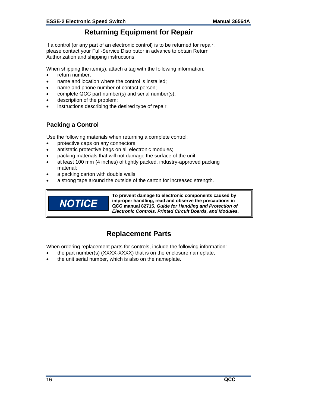## **Returning Equipment for Repair**

If a control (or any part of an electronic control) is to be returned for repair, please contact your Full-Service Distributor in advance to obtain Return Authorization and shipping instructions.

When shipping the item(s), attach a tag with the following information:

- return number:
- name and location where the control is installed;
- name and phone number of contact person;
- complete QCC part number(s) and serial number(s);
- description of the problem;
- instructions describing the desired type of repair.

#### **Packing a Control**

Use the following materials when returning a complete control:

- protective caps on any connectors;
- antistatic protective bags on all electronic modules;
- packing materials that will not damage the surface of the unit;
- at least 100 mm (4 inches) of tightly packed, industry-approved packing material;
- a packing carton with double walls;
- a strong tape around the outside of the carton for increased strength.



**To prevent damage to electronic components caused by improper handling, read and observe the precautions in QCC manual 82715,** *Guide for Handling and Protection of Electronic Controls, Printed Circuit Boards, and Modules***.** 

## **Replacement Parts**

When ordering replacement parts for controls, include the following information:

- the part number(s) (XXXX-XXXX) that is on the enclosure nameplate;
- the unit serial number, which is also on the nameplate.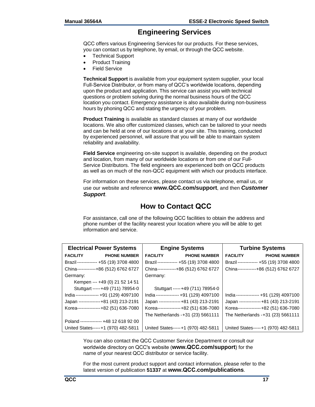## **Engineering Services**

QCC offers various Engineering Services for our products. For these services, you can contact us by telephone, by email, or through the QCC website.

- Technical Support
- Product Training
- Field Service

**Technical Support** is available from your equipment system supplier, your local Full-Service Distributor, or from many of QCC's worldwide locations, depending upon the product and application. This service can assist you with technical questions or problem solving during the normal business hours of the QCC location you contact. Emergency assistance is also available during non-business hours by phoning QCC and stating the urgency of your problem.

**Product Training** is available as standard classes at many of our worldwide locations. We also offer customized classes, which can be tailored to your needs and can be held at one of our locations or at your site. This training, conducted by experienced personnel, will assure that you will be able to maintain system reliability and availability.

**Field Service** engineering on-site support is available, depending on the product and location, from many of our worldwide locations or from one of our Full-Service Distributors. The field engineers are experienced both on QCC products as well as on much of the non-QCC equipment with which our products interface.

For information on these services, please contact us via telephone, email us, or use our website and reference **www.QCC.com/support**, and then *Customer Support*.

## **How to Contact QCC**

For assistance, call one of the following QCC facilities to obtain the address and phone number of the facility nearest your location where you will be able to get information and service.

| <b>Electrical Power Systems</b>        | <b>Engine Systems</b>                  | <b>Turbine Systems</b>                 |  |
|----------------------------------------|----------------------------------------|----------------------------------------|--|
| <b>FACILITY</b><br><b>PHONE NUMBER</b> | <b>FACILITY</b><br><b>PHONE NUMBER</b> | <b>FACILITY</b><br><b>PHONE NUMBER</b> |  |
| Brazil------------- +55 (19) 3708 4800 | Brazil------------- +55 (19) 3708 4800 | Brazil------------- +55 (19) 3708 4800 |  |
| China------------+86 (512) 6762 6727   | China------------+86 (512) 6762 6727   | China------------+86 (512) 6762 6727   |  |
| Germany:                               | Germany:                               |                                        |  |
| Kempen --- +49 (0) 21 52 14 51         |                                        |                                        |  |
| Stuttgart -----+49 (711) 78954-0       | Stuttgart -----+49 (711) 78954-0       |                                        |  |
| India--------------- +91 (129) 4097100 | India--------------- +91 (129) 4097100 | India--------------- +91 (129) 4097100 |  |
| Japan --------------+81 (43) 213-2191  | Japan --------------+81 (43) 213-2191  | Japan --------------+81 (43) 213-2191  |  |
| Korea---------------+82 (51) 636-7080  | Korea---------------+82 (51) 636-7080  | Korea---------------+82 (51) 636-7080  |  |
|                                        | The Netherlands - +31 (23) 5661111     | The Netherlands -+31 (23) 5661111      |  |
| Poland ------------- +48 12 618 92 00  |                                        |                                        |  |
| United States-----+1 (970) 482-5811    | United States-----+1 (970) 482-5811    | United States-----+1 (970) 482-5811    |  |

You can also contact the QCC Customer Service Department or consult our worldwide directory on QCC's website (**www.QCC.com/support**) for the name of your nearest QCC distributor or service facility.

For the most current product support and contact information, please refer to the latest version of publication **51337** at **www.QCC.com/publications**.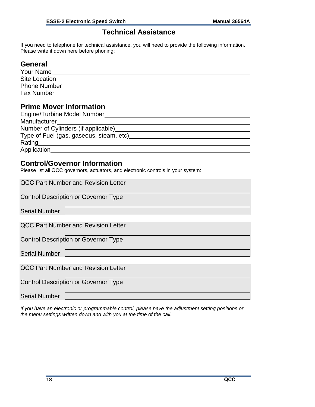## **Technical Assistance**

If you need to telephone for technical assistance, you will need to provide the following information. Please write it down here before phoning:

## **General**

| Your Name            |  |
|----------------------|--|
| <b>Site Location</b> |  |
| <b>Phone Number</b>  |  |
| <b>Fax Number</b>    |  |

## **Prime Mover Information**

| <b>Engine/Turbine Model Number</b>      |  |
|-----------------------------------------|--|
| Manufacturer                            |  |
| Number of Cylinders (if applicable)     |  |
| Type of Fuel (gas, gaseous, steam, etc) |  |
| Rating                                  |  |
| Application                             |  |

## **Control/Governor Information**

Please list all QCC governors, actuators, and electronic controls in your system:

| <b>QCC Part Number and Revision Letter</b>  |
|---------------------------------------------|
| <b>Control Description or Governor Type</b> |
| <b>Serial Number</b>                        |
| <b>QCC Part Number and Revision Letter</b>  |
| <b>Control Description or Governor Type</b> |
| <b>Serial Number</b>                        |
| <b>QCC Part Number and Revision Letter</b>  |
| <b>Control Description or Governor Type</b> |
| <b>Serial Number</b>                        |

*If you have an electronic or programmable control, please have the adjustment setting positions or the menu settings written down and with you at the time of the call.*